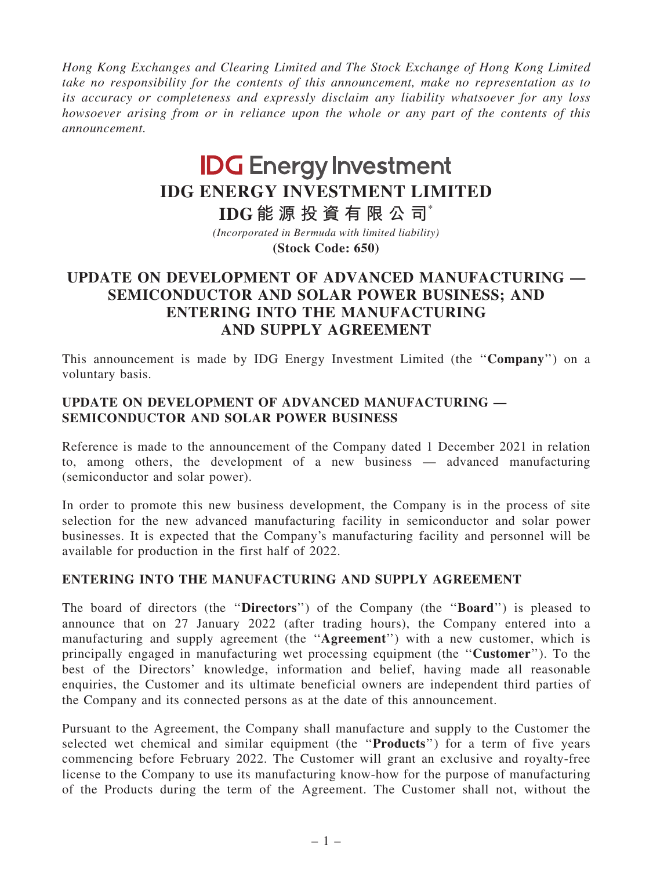Hong Kong Exchanges and Clearing Limited and The Stock Exchange of Hong Kong Limited take no responsibility for the contents of this announcement, make no representation as to its accuracy or completeness and expressly disclaim any liability whatsoever for any loss howsoever arising from or in reliance upon the whole or any part of the contents of this announcement.

# **IDG Energy Investment IDG ENERGY INVESTMENT LIMITED**

**(Stock Code: 650)** *(Incorporated in Bermuda with limited liability)* **IDG 能源投資有限公司**\*

## UPDATE ON DEVELOPMENT OF ADVANCED MANUFACTURING — SEMICONDUCTOR AND SOLAR POWER BUSINESS; AND ENTERING INTO THE MANUFACTURING AND SUPPLY AGREEMENT

This announcement is made by IDG Energy Investment Limited (the ''Company'') on a voluntary basis.

## UPDATE ON DEVELOPMENT OF ADVANCED MANUFACTURING — SEMICONDUCTOR AND SOLAR POWER BUSINESS

Reference is made to the announcement of the Company dated 1 December 2021 in relation to, among others, the development of a new business — advanced manufacturing (semiconductor and solar power).

In order to promote this new business development, the Company is in the process of site selection for the new advanced manufacturing facility in semiconductor and solar power businesses. It is expected that the Company's manufacturing facility and personnel will be available for production in the first half of 2022.

## ENTERING INTO THE MANUFACTURING AND SUPPLY AGREEMENT

The board of directors (the "Directors") of the Company (the "Board") is pleased to announce that on 27 January 2022 (after trading hours), the Company entered into a manufacturing and supply agreement (the "Agreement") with a new customer, which is principally engaged in manufacturing wet processing equipment (the ''Customer''). To the best of the Directors' knowledge, information and belief, having made all reasonable enquiries, the Customer and its ultimate beneficial owners are independent third parties of the Company and its connected persons as at the date of this announcement.

Pursuant to the Agreement, the Company shall manufacture and supply to the Customer the selected wet chemical and similar equipment (the "**Products**") for a term of five years commencing before February 2022. The Customer will grant an exclusive and royalty-free license to the Company to use its manufacturing know-how for the purpose of manufacturing of the Products during the term of the Agreement. The Customer shall not, without the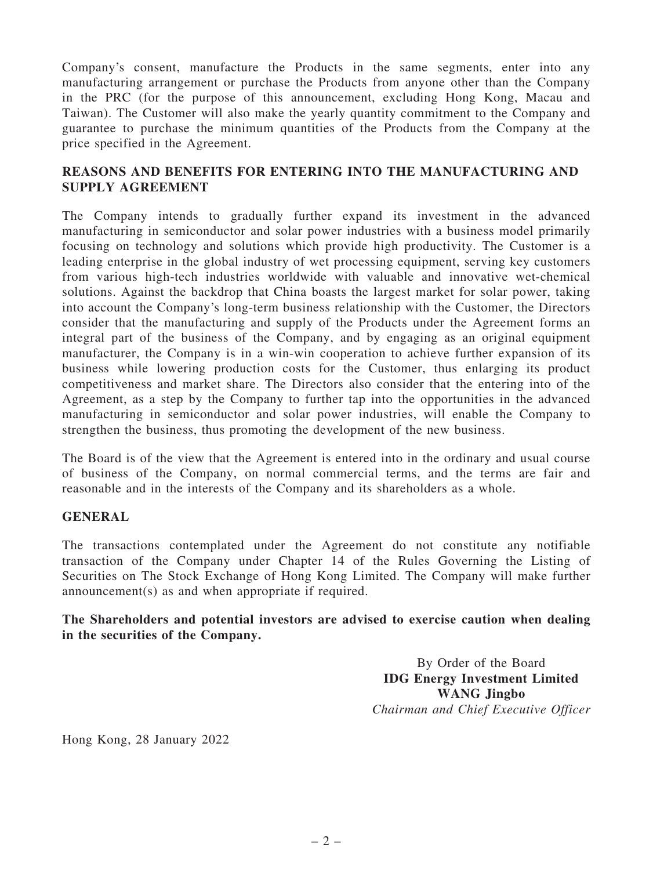Company's consent, manufacture the Products in the same segments, enter into any manufacturing arrangement or purchase the Products from anyone other than the Company in the PRC (for the purpose of this announcement, excluding Hong Kong, Macau and Taiwan). The Customer will also make the yearly quantity commitment to the Company and guarantee to purchase the minimum quantities of the Products from the Company at the price specified in the Agreement.

### REASONS AND BENEFITS FOR ENTERING INTO THE MANUFACTURING AND SUPPLY AGREEMENT

The Company intends to gradually further expand its investment in the advanced manufacturing in semiconductor and solar power industries with a business model primarily focusing on technology and solutions which provide high productivity. The Customer is a leading enterprise in the global industry of wet processing equipment, serving key customers from various high-tech industries worldwide with valuable and innovative wet-chemical solutions. Against the backdrop that China boasts the largest market for solar power, taking into account the Company's long-term business relationship with the Customer, the Directors consider that the manufacturing and supply of the Products under the Agreement forms an integral part of the business of the Company, and by engaging as an original equipment manufacturer, the Company is in a win-win cooperation to achieve further expansion of its business while lowering production costs for the Customer, thus enlarging its product competitiveness and market share. The Directors also consider that the entering into of the Agreement, as a step by the Company to further tap into the opportunities in the advanced manufacturing in semiconductor and solar power industries, will enable the Company to strengthen the business, thus promoting the development of the new business.

The Board is of the view that the Agreement is entered into in the ordinary and usual course of business of the Company, on normal commercial terms, and the terms are fair and reasonable and in the interests of the Company and its shareholders as a whole.

## GENERAL

The transactions contemplated under the Agreement do not constitute any notifiable transaction of the Company under Chapter 14 of the Rules Governing the Listing of Securities on The Stock Exchange of Hong Kong Limited. The Company will make further announcement(s) as and when appropriate if required.

#### The Shareholders and potential investors are advised to exercise caution when dealing in the securities of the Company.

By Order of the Board IDG Energy Investment Limited WANG Jingbo Chairman and Chief Executive Officer

Hong Kong, 28 January 2022